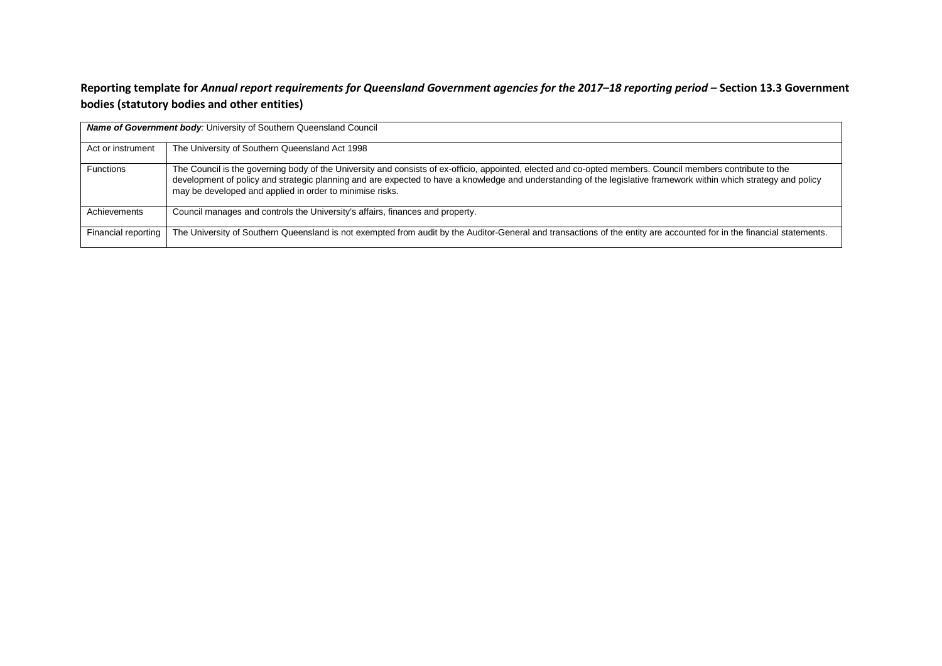## **Reporting template for** *Annual report requirements for Queensland Government agencies for the 2017–18 reporting period –* **Section 13.3 Government bodies (statutory bodies and other entities)**

| <b>Name of Government body:</b> University of Southern Queensland Council |                                                                                                                                                                                                                                                                                                                                                                                             |  |  |
|---------------------------------------------------------------------------|---------------------------------------------------------------------------------------------------------------------------------------------------------------------------------------------------------------------------------------------------------------------------------------------------------------------------------------------------------------------------------------------|--|--|
| Act or instrument                                                         | The University of Southern Queensland Act 1998                                                                                                                                                                                                                                                                                                                                              |  |  |
| <b>Functions</b>                                                          | The Council is the governing body of the University and consists of ex-officio, appointed, elected and co-opted members. Council members contribute to the<br>development of policy and strategic planning and are expected to have a knowledge and understanding of the legislative framework within which strategy and policy<br>may be developed and applied in order to minimise risks. |  |  |
| Achievements                                                              | Council manages and controls the University's affairs, finances and property.                                                                                                                                                                                                                                                                                                               |  |  |
| Financial reporting                                                       | The University of Southern Queensland is not exempted from audit by the Auditor-General and transactions of the entity are accounted for in the financial statements.                                                                                                                                                                                                                       |  |  |